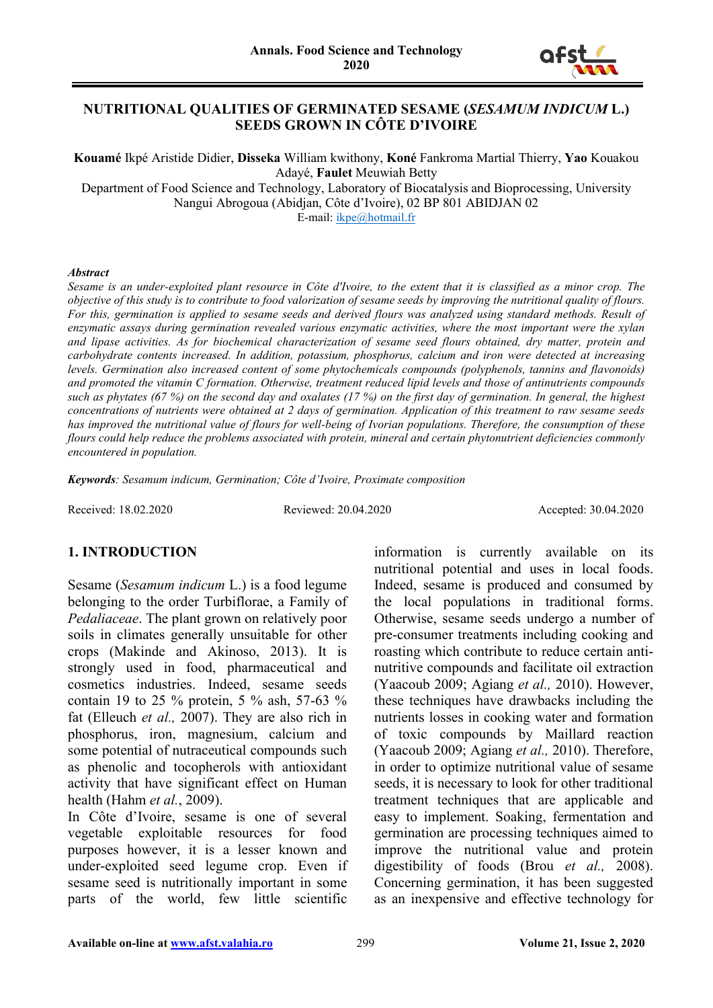

#### **NUTRITIONAL QUALITIES OF GERMINATED SESAME (***SESAMUM INDICUM* **L.) SEEDS GROWN IN CÔTE D'IVOIRE**

**Kouamé** Ikpé Aristide Didier, **Disseka** William kwithony, **Koné** Fankroma Martial Thierry, **Yao** Kouakou Adayé, **Faulet** Meuwiah Betty

Department of Food Science and Technology, Laboratory of Biocatalysis and Bioprocessing, University Nangui Abrogoua (Abidjan, Côte d'Ivoire), 02 BP 801 ABIDJAN 02

E-mail: [ikpe@hotmail.fr](mailto:ikpe@hotmail.fr)

#### *Abstract*

*Sesame is an under-exploited plant resource in Côte d'Ivoire, to the extent that it is classified as a minor crop. The objective of this study is to contribute to food valorization of sesame seeds by improving the nutritional quality of flours. For this, germination is applied to sesame seeds and derived flours was analyzed using standard methods. Result of enzymatic assays during germination revealed various enzymatic activities, where the most important were the xylan and lipase activities. As for biochemical characterization of sesame seed flours obtained, dry matter, protein and carbohydrate contents increased. In addition, potassium, phosphorus, calcium and iron were detected at increasing levels. Germination also increased content of some phytochemicals compounds (polyphenols, tannins and flavonoids) and promoted the vitamin C formation. Otherwise, treatment reduced lipid levels and those of antinutrients compounds such as phytates (67 %) on the second day and oxalates (17 %) on the first day of germination. In general, the highest concentrations of nutrients were obtained at 2 days of germination. Application of this treatment to raw sesame seeds has improved the nutritional value of flours for well-being of Ivorian populations. Therefore, the consumption of these flours could help reduce the problems associated with protein, mineral and certain phytonutrient deficiencies commonly encountered in population.*

*Keywords: Sesamum indicum, Germination; Côte d'Ivoire, Proximate composition*

Received: 18.02.2020 Reviewed: 20.04.2020 Accepted: 30.04.2020

#### **1. INTRODUCTION**

Sesame (*Sesamum indicum* L.) is a food legume belonging to the order Turbiflorae, a Family of *Pedaliaceae*. The plant grown on relatively poor soils in climates generally unsuitable for other crops (Makinde and Akinoso, 2013). It is strongly used in food, pharmaceutical and cosmetics industries. Indeed, sesame seeds contain 19 to 25 % protein, 5 % ash, 57-63 % fat (Elleuch *et al.,* 2007). They are also rich in phosphorus, iron, magnesium, calcium and some potential of nutraceutical compounds such as phenolic and tocopherols with antioxidant activity that have significant effect on Human health (Hahm *et al.*, 2009).

In Côte d'Ivoire, sesame is one of several vegetable exploitable resources for food purposes however, it is a lesser known and under-exploited seed legume crop. Even if sesame seed is nutritionally important in some parts of the world, few little scientific

information is currently available on its nutritional potential and uses in local foods. Indeed, sesame is produced and consumed by the local populations in traditional forms. Otherwise, sesame seeds undergo a number of pre-consumer treatments including cooking and roasting which contribute to reduce certain antinutritive compounds and facilitate oil extraction (Yaacoub 2009; Agiang *et al.,* 2010). However, these techniques have drawbacks including the nutrients losses in cooking water and formation of toxic compounds by Maillard reaction (Yaacoub 2009; Agiang *et al.,* 2010). Therefore, in order to optimize nutritional value of sesame seeds, it is necessary to look for other traditional treatment techniques that are applicable and easy to implement. Soaking, fermentation and germination are processing techniques aimed to improve the nutritional value and protein digestibility of foods (Brou *et al.,* 2008). Concerning germination, it has been suggested as an inexpensive and effective technology for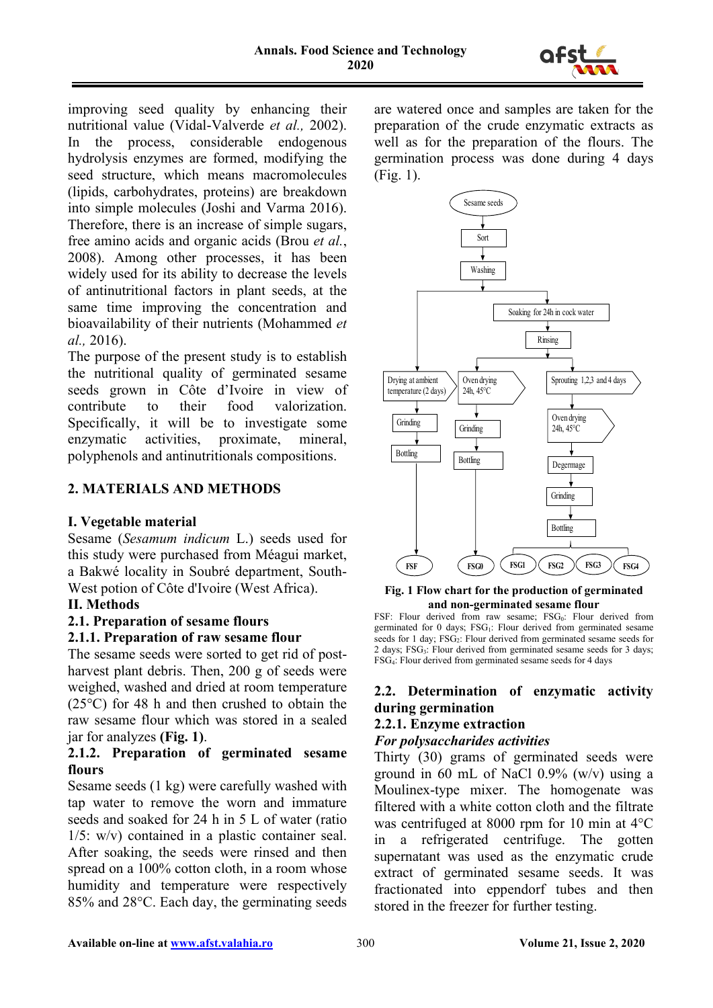

improving seed quality by enhancing their nutritional value (Vidal-Valverde *et al.,* 2002). In the process, considerable endogenous hydrolysis enzymes are formed, modifying the seed structure, which means macromolecules (lipids, carbohydrates, proteins) are breakdown into simple molecules (Joshi and Varma 2016). Therefore, there is an increase of simple sugars, free amino acids and organic acids (Brou *et al.*, 2008). Among other processes, it has been widely used for its ability to decrease the levels of antinutritional factors in plant seeds, at the same time improving the concentration and bioavailability of their nutrients (Mohammed *et al.,* 2016).

The purpose of the present study is to establish the nutritional quality of germinated sesame seeds grown in Côte d'Ivoire in view of contribute to their food valorization. Specifically, it will be to investigate some enzymatic activities, proximate, mineral, polyphenols and antinutritionals compositions.

## **2. MATERIALS AND METHODS**

## **I. Vegetable material**

Sesame (*Sesamum indicum* L.) seeds used for this study were purchased from Méagui market, a Bakwé locality in Soubré department, South-West potion of Côte d'Ivoire (West Africa).

## **II. Methods**

## **2.1. Preparation of sesame flours**

## **2.1.1. Preparation of raw sesame flour**

The sesame seeds were sorted to get rid of postharvest plant debris. Then, 200 g of seeds were weighed, washed and dried at room temperature (25°C) for 48 h and then crushed to obtain the raw sesame flour which was stored in a sealed jar for analyzes **(Fig. 1)**.

#### **2.1.2. Preparation of germinated sesame flours**

Sesame seeds (1 kg) were carefully washed with tap water to remove the worn and immature seeds and soaked for 24 h in 5 L of water (ratio  $1/5$ : w/v) contained in a plastic container seal. After soaking, the seeds were rinsed and then spread on a 100% cotton cloth, in a room whose humidity and temperature were respectively 85% and 28°C. Each day, the germinating seeds are watered once and samples are taken for the preparation of the crude enzymatic extracts as well as for the preparation of the flours. The germination process was done during 4 days (Fig. 1).



**Fig. 1 Flow chart for the production of germinated and non-germinated sesame flour**

FSF: Flour derived from raw sesame;  $FSG_0$ : Flour derived from germinated for 0 days; FSG<sub>1</sub>: Flour derived from germinated sesame seeds for 1 day;  $FSG_2$ : Flour derived from germinated sesame seeds for 2 days; FSG3: Flour derived from germinated sesame seeds for 3 days; FSG4: Flour derived from germinated sesame seeds for 4 days

## **2.2. Determination of enzymatic activity during germination**

## **2.2.1. Enzyme extraction**

## *For polysaccharides activities*

Thirty (30) grams of germinated seeds were ground in 60 mL of NaCl 0.9% (w/v) using a Moulinex-type mixer. The homogenate was filtered with a white cotton cloth and the filtrate was centrifuged at 8000 rpm for 10 min at  $4^{\circ}$ C in a refrigerated centrifuge. The gotten supernatant was used as the enzymatic crude extract of germinated sesame seeds. It was fractionated into eppendorf tubes and then stored in the freezer for further testing.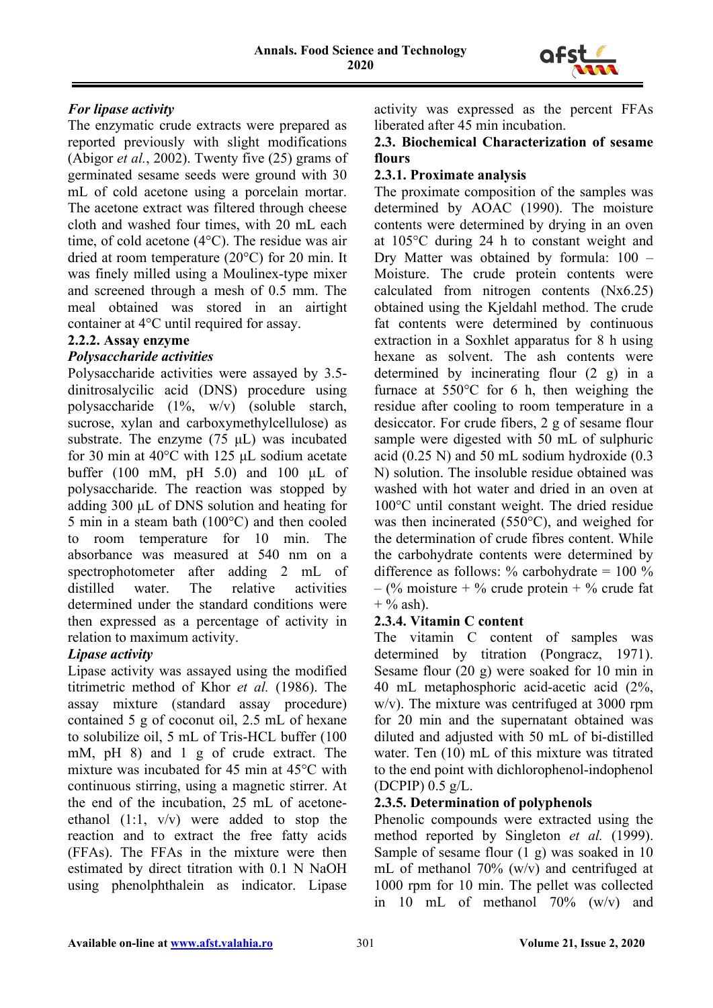

# *For lipase activity*

The enzymatic crude extracts were prepared as reported previously with slight modifications (Abigor *et al.*, 2002). Twenty five (25) grams of germinated sesame seeds were ground with 30 mL of cold acetone using a porcelain mortar. The acetone extract was filtered through cheese cloth and washed four times, with 20 mL each time, of cold acetone (4°C). The residue was air dried at room temperature (20°C) for 20 min. It was finely milled using a Moulinex-type mixer and screened through a mesh of 0.5 mm. The meal obtained was stored in an airtight container at 4°C until required for assay.

## **2.2.2. Assay enzyme**

## *Polysaccharide activities*

Polysaccharide activities were assayed by 3.5 dinitrosalycilic acid (DNS) procedure using polysaccharide (1%, w/v) (soluble starch, sucrose, xylan and carboxymethylcellulose) as substrate. The enzyme (75 μL) was incubated for 30 min at 40°C with 125 μL sodium acetate buffer (100 mM, pH 5.0) and 100 μL of polysaccharide. The reaction was stopped by adding 300 μL of DNS solution and heating for 5 min in a steam bath (100°C) and then cooled to room temperature for 10 min. The absorbance was measured at 540 nm on a spectrophotometer after adding 2 mL of distilled water. The relative activities determined under the standard conditions were then expressed as a percentage of activity in relation to maximum activity.

## *Lipase activity*

Lipase activity was assayed using the modified titrimetric method of Khor *et al.* (1986). The assay mixture (standard assay procedure) contained 5 g of coconut oil, 2.5 mL of hexane to solubilize oil, 5 mL of Tris-HCL buffer (100 mM, pH 8) and 1 g of crude extract. The mixture was incubated for 45 min at 45°C with continuous stirring, using a magnetic stirrer. At the end of the incubation, 25 mL of acetoneethanol (1:1, v/v) were added to stop the reaction and to extract the free fatty acids (FFAs). The FFAs in the mixture were then estimated by direct titration with 0.1 N NaOH using phenolphthalein as indicator. Lipase

activity was expressed as the percent FFAs liberated after 45 min incubation.

## **2.3. Biochemical Characterization of sesame flours**

## **2.3.1. Proximate analysis**

The proximate composition of the samples was determined by AOAC (1990). The moisture contents were determined by drying in an oven at 105°C during 24 h to constant weight and Dry Matter was obtained by formula: 100 – Moisture. The crude protein contents were calculated from nitrogen contents (Nx6.25) obtained using the Kjeldahl method. The crude fat contents were determined by continuous extraction in a Soxhlet apparatus for 8 h using hexane as solvent. The ash contents were determined by incinerating flour (2 g) in a furnace at 550°C for 6 h, then weighing the residue after cooling to room temperature in a desiccator. For crude fibers, 2 g of sesame flour sample were digested with 50 mL of sulphuric acid (0.25 N) and 50 mL sodium hydroxide (0.3 N) solution. The insoluble residue obtained was washed with hot water and dried in an oven at 100°C until constant weight. The dried residue was then incinerated (550°C), and weighed for the determination of crude fibres content. While the carbohydrate contents were determined by difference as follows: % carbohydrate = 100 % – (% moisture + % crude protein + % crude fat  $+$  % ash).

## **2.3.4. Vitamin C content**

The vitamin C content of samples was determined by titration (Pongracz, 1971). Sesame flour (20 g) were soaked for 10 min in 40 mL metaphosphoric acid-acetic acid (2%,  $w/v$ ). The mixture was centrifuged at 3000 rpm for 20 min and the supernatant obtained was diluted and adjusted with 50 mL of bi-distilled water. Ten (10) mL of this mixture was titrated to the end point with dichlorophenol-indophenol (DCPIP)  $0.5 \text{ g/L}$ .

## **2.3.5. Determination of polyphenols**

Phenolic compounds were extracted using the method reported by Singleton *et al.* (1999). Sample of sesame flour (1 g) was soaked in 10 mL of methanol 70% (w/v) and centrifuged at 1000 rpm for 10 min. The pellet was collected in 10 mL of methanol 70% (w/v) and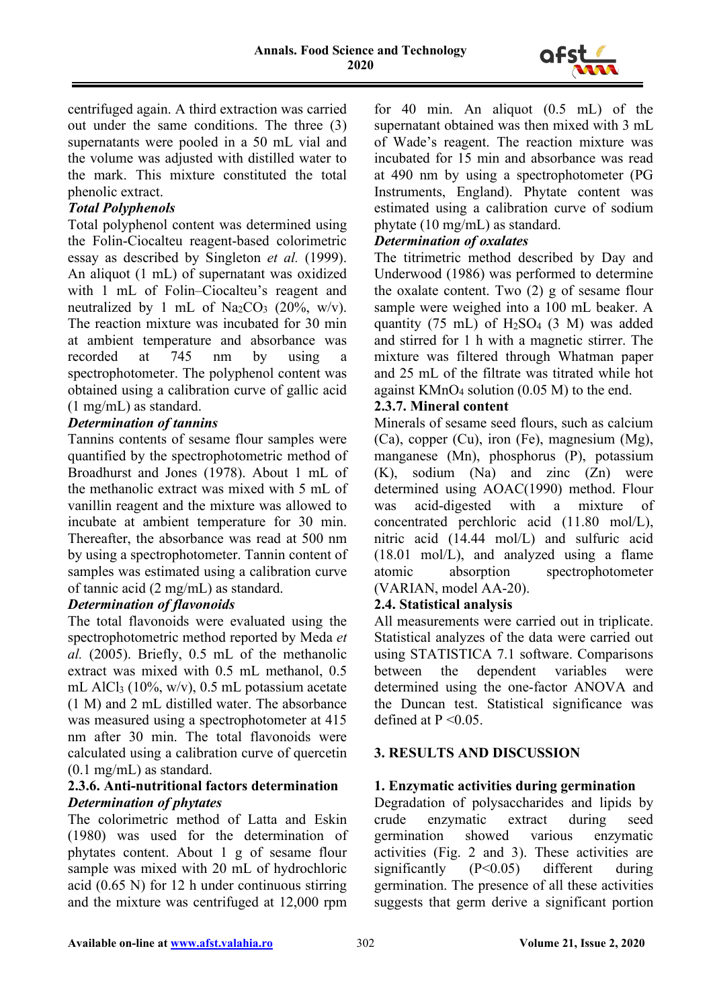

centrifuged again. A third extraction was carried out under the same conditions. The three (3) supernatants were pooled in a 50 mL vial and the volume was adjusted with distilled water to the mark. This mixture constituted the total phenolic extract.

## *Total Polyphenols*

Total polyphenol content was determined using the Folin-Ciocalteu reagent-based colorimetric essay as described by Singleton *et al.* (1999). An aliquot (1 mL) of supernatant was oxidized with 1 mL of Folin–Ciocalteu's reagent and neutralized by 1 mL of  $Na<sub>2</sub>CO<sub>3</sub>$  (20%, w/v). The reaction mixture was incubated for 30 min at ambient temperature and absorbance was recorded at 745 nm by using a spectrophotometer. The polyphenol content was obtained using a calibration curve of gallic acid (1 mg/mL) as standard.

# *Determination of tannins*

Tannins contents of sesame flour samples were quantified by the spectrophotometric method of Broadhurst and Jones (1978). About 1 mL of the methanolic extract was mixed with 5 mL of vanillin reagent and the mixture was allowed to incubate at ambient temperature for 30 min. Thereafter, the absorbance was read at 500 nm by using a spectrophotometer. Tannin content of samples was estimated using a calibration curve of tannic acid (2 mg/mL) as standard.

## *Determination of flavonoids*

The total flavonoids were evaluated using the spectrophotometric method reported by Meda *et al.* (2005). Briefly, 0.5 mL of the methanolic extract was mixed with 0.5 mL methanol, 0.5 mL AlCl3 (10%, w/v), 0.5 mL potassium acetate (1 M) and 2 mL distilled water. The absorbance was measured using a spectrophotometer at 415 nm after 30 min. The total flavonoids were calculated using a calibration curve of quercetin (0.1 mg/mL) as standard.

## **2.3.6. Anti-nutritional factors determination** *Determination of phytates*

The colorimetric method of Latta and Eskin (1980) was used for the determination of phytates content. About 1 g of sesame flour sample was mixed with 20 mL of hydrochloric acid (0.65 N) for 12 h under continuous stirring and the mixture was centrifuged at 12,000 rpm

for 40 min. An aliquot (0.5 mL) of the supernatant obtained was then mixed with 3 mL of Wade's reagent. The reaction mixture was incubated for 15 min and absorbance was read at 490 nm by using a spectrophotometer (PG Instruments, England). Phytate content was estimated using a calibration curve of sodium phytate (10 mg/mL) as standard.

## *Determination of oxalates*

The titrimetric method described by Day and Underwood (1986) was performed to determine the oxalate content. Two (2) g of sesame flour sample were weighed into a 100 mL beaker. A quantity (75 mL) of  $H<sub>2</sub>SO<sub>4</sub>$  (3 M) was added and stirred for 1 h with a magnetic stirrer. The mixture was filtered through Whatman paper and 25 mL of the filtrate was titrated while hot against  $KMnO<sub>4</sub>$  solution (0.05 M) to the end.

## **2.3.7. Mineral content**

Minerals of sesame seed flours, such as calcium (Ca), copper (Cu), iron (Fe), magnesium (Mg), manganese (Mn), phosphorus (P), potassium (K), sodium (Na) and zinc (Zn) were determined using AOAC(1990) method. Flour was acid-digested with a mixture of concentrated perchloric acid (11.80 mol/L), nitric acid (14.44 mol/L) and sulfuric acid (18.01 mol/L), and analyzed using a flame atomic absorption spectrophotometer (VARIAN, model AA-20).

# **2.4. Statistical analysis**

All measurements were carried out in triplicate. Statistical analyzes of the data were carried out using STATISTICA 7.1 software. Comparisons between the dependent variables were determined using the one-factor ANOVA and the Duncan test. Statistical significance was defined at  $P \leq 0.05$ .

# **3. RESULTS AND DISCUSSION**

# **1. Enzymatic activities during germination**

Degradation of polysaccharides and lipids by crude enzymatic extract during seed germination showed various enzymatic activities (Fig. 2 and 3). These activities are significantly (P<0.05) different during germination. The presence of all these activities suggests that germ derive a significant portion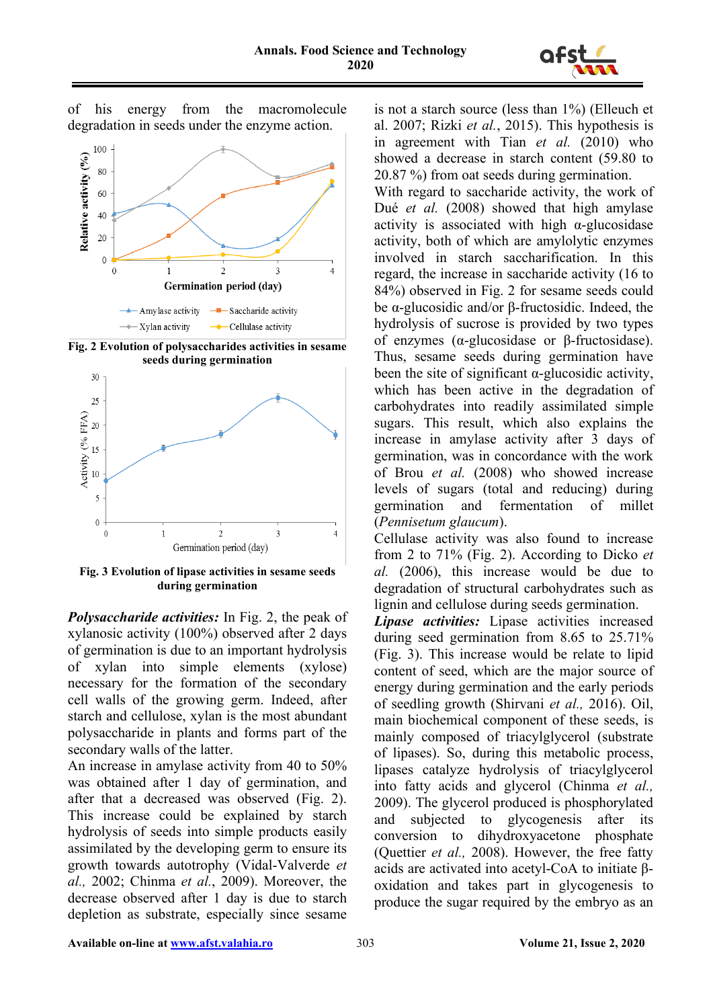

of his energy from the macromolecule degradation in seeds under the enzyme action.



**Fig. 2 Evolution of polysaccharides activities in sesame seeds during germination**



**Fig. 3 Evolution of lipase activities in sesame seeds during germination**

*Polysaccharide activities:* In Fig. 2, the peak of xylanosic activity (100%) observed after 2 days of germination is due to an important hydrolysis of xylan into simple elements (xylose) necessary for the formation of the secondary cell walls of the growing germ. Indeed, after starch and cellulose, xylan is the most abundant polysaccharide in plants and forms part of the secondary walls of the latter.

An increase in amylase activity from 40 to 50% was obtained after 1 day of germination, and after that a decreased was observed (Fig. 2). This increase could be explained by starch hydrolysis of seeds into simple products easily assimilated by the developing germ to ensure its growth towards autotrophy (Vidal-Valverde *et al.,* 2002; Chinma *et al.*, 2009). Moreover, the decrease observed after 1 day is due to starch depletion as substrate, especially since sesame

is not a starch source (less than 1%) (Elleuch et al. 2007; Rizki *et al.*, 2015). This hypothesis is in agreement with Tian *et al.* (2010) who showed a decrease in starch content (59.80 to 20.87 %) from oat seeds during germination.

With regard to saccharide activity, the work of Dué *et al.* (2008) showed that high amylase activity is associated with high  $\alpha$ -glucosidase activity, both of which are amylolytic enzymes involved in starch saccharification. In this regard, the increase in saccharide activity (16 to 84%) observed in Fig. 2 for sesame seeds could be α-glucosidic and/or β-fructosidic. Indeed, the hydrolysis of sucrose is provided by two types of enzymes (α-glucosidase or β-fructosidase). Thus, sesame seeds during germination have been the site of significant  $\alpha$ -glucosidic activity, which has been active in the degradation of carbohydrates into readily assimilated simple sugars. This result, which also explains the increase in amylase activity after 3 days of germination, was in concordance with the work of Brou *et al.* (2008) who showed increase levels of sugars (total and reducing) during germination and fermentation of millet (*Pennisetum glaucum*).

Cellulase activity was also found to increase from 2 to 71% (Fig. 2). According to Dicko *et al.* (2006), this increase would be due to degradation of structural carbohydrates such as lignin and cellulose during seeds germination.

*Lipase activities:* Lipase activities increased during seed germination from 8.65 to 25.71% (Fig. 3). This increase would be relate to lipid content of seed, which are the major source of energy during germination and the early periods of seedling growth (Shirvani *et al.,* 2016). Oil, main biochemical component of these seeds, is mainly composed of triacylglycerol (substrate of lipases). So, during this metabolic process, lipases catalyze hydrolysis of triacylglycerol into fatty acids and glycerol (Chinma *et al.,* 2009). The glycerol produced is phosphorylated and subjected to glycogenesis after its conversion to dihydroxyacetone phosphate (Quettier *et al.,* 2008). However, the free fatty acids are activated into acetyl-CoA to initiate βoxidation and takes part in glycogenesis to produce the sugar required by the embryo as an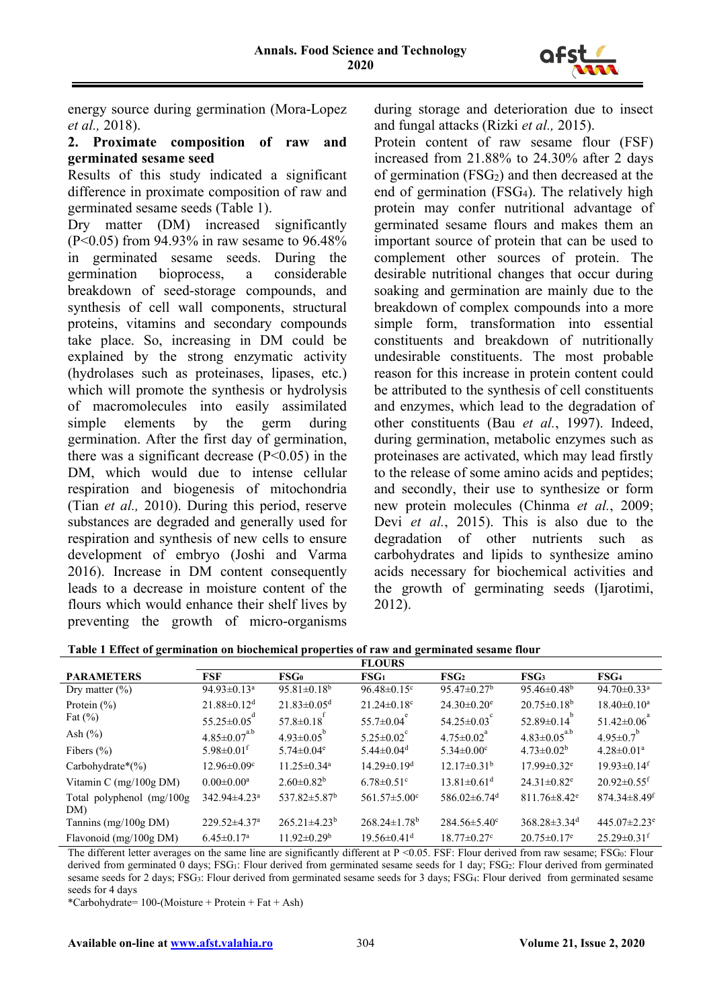

energy source during germination (Mora-Lopez *et al.,* 2018).

## **2. Proximate composition of raw and germinated sesame seed**

Results of this study indicated a significant difference in proximate composition of raw and germinated sesame seeds (Table 1).

Dry matter (DM) increased significantly (P<0.05) from 94.93% in raw sesame to 96.48% in germinated sesame seeds. During the germination bioprocess, a considerable breakdown of seed-storage compounds, and synthesis of cell wall components, structural proteins, vitamins and secondary compounds take place. So, increasing in DM could be explained by the strong enzymatic activity (hydrolases such as proteinases, lipases, etc.) which will promote the synthesis or hydrolysis of macromolecules into easily assimilated simple elements by the germ during germination. After the first day of germination, there was a significant decrease  $(P<0.05)$  in the DM, which would due to intense cellular respiration and biogenesis of mitochondria (Tian *et al.,* 2010). During this period, reserve substances are degraded and generally used for respiration and synthesis of new cells to ensure development of embryo (Joshi and Varma 2016). Increase in DM content consequently leads to a decrease in moisture content of the flours which would enhance their shelf lives by preventing the growth of micro-organisms

during storage and deterioration due to insect and fungal attacks (Rizki *et al.,* 2015).

Protein content of raw sesame flour (FSF) increased from 21.88% to 24.30% after 2 days of germination  $(FSG<sub>2</sub>)$  and then decreased at the end of germination (FSG4). The relatively high protein may confer nutritional advantage of germinated sesame flours and makes them an important source of protein that can be used to complement other sources of protein. The desirable nutritional changes that occur during soaking and germination are mainly due to the breakdown of complex compounds into a more simple form, transformation into essential constituents and breakdown of nutritionally undesirable constituents. The most probable reason for this increase in protein content could be attributed to the synthesis of cell constituents and enzymes, which lead to the degradation of other constituents (Bau *et al.*, 1997). Indeed, during germination, metabolic enzymes such as proteinases are activated, which may lead firstly to the release of some amino acids and peptides; and secondly, their use to synthesize or form new protein molecules (Chinma *et al.*, 2009; Devi *et al.*, 2015). This is also due to the degradation of other nutrients such as carbohydrates and lipids to synthesize amino acids necessary for biochemical activities and the growth of germinating seeds (Ijarotimi, 2012).

| Table 1 Effect of germination on biochemical properties of raw and germinated sesame flour |  |  |
|--------------------------------------------------------------------------------------------|--|--|
|                                                                                            |  |  |

|                                     |                               |                                | <b>FLOURS</b>                  |                                |                                |                                |
|-------------------------------------|-------------------------------|--------------------------------|--------------------------------|--------------------------------|--------------------------------|--------------------------------|
| <b>PARAMETERS</b>                   | <b>FSF</b>                    | $\mathbf{FSG}_0$               | $\mathbf{FSG}_1$               | FSG <sub>2</sub>               | FSG <sub>3</sub>               | $\text{FSG}_4$                 |
| Dry matter $(\% )$                  | 94.93 $\pm$ 0.13 <sup>a</sup> | 95.81 $\pm$ 0.18 <sup>b</sup>  | $96.48 \pm 0.15$ <sup>c</sup>  | $95.47 \pm 0.27^b$             | $95.46 \pm 0.48^b$             | 94.70 $\pm$ 0.33 <sup>a</sup>  |
| Protein $(\% )$                     | $21.88 \pm 0.12$ <sup>d</sup> | $21.83 \pm 0.05$ <sup>d</sup>  | $21.24 \pm 0.18$ °             | $24.30 \pm 0.20$ <sup>e</sup>  | $20.75 \pm 0.18^b$             | $18.40 \pm 0.10^a$             |
| Fat $(\% )$                         | $55.25 \pm 0.05^{\circ}$      | $57.8 \pm 0.18$                | $55.7 \pm 0.04^e$              | $54.25 \pm 0.03$               | $52.89 \pm 0.14$               | $51.42 \pm 0.06$               |
| Ash $(\% )$                         | $4.85 \pm 0.07^{a.b}$         | $4.93 \pm 0.05^{b}$            | $5.25 \pm 0.02^{\circ}$        | $4.75 \pm 0.02$ <sup>a</sup>   | $4.83 \pm 0.05^{a,b}$          | $4.95 \pm 0.7$ <sup>b</sup>    |
| Fibers $(\% )$                      | $5.98 \pm 0.01$ <sup>f</sup>  | 5.74 $\pm$ 0.04 $\rm{e}$       | $5.44 \pm 0.04$ <sup>d</sup>   | $5.34 \pm 0.00$ <sup>c</sup>   | $4.73 \pm 0.02^b$              | $4.28 \pm 0.01$ <sup>a</sup>   |
| Carbohydrate* $(\% )$               | $12.96 \pm 0.09$ <sup>c</sup> | $11.25 \pm 0.34$ <sup>a</sup>  | $14.29 \pm 0.19$ <sup>d</sup>  | $12.17\pm0.31^{\rm b}$         | $17.99 \pm 0.32$ <sup>e</sup>  | $19.93 \pm 0.14$ <sup>f</sup>  |
| Vitamin C $(mg/100g DM)$            | $0.00 \pm 0.00^a$             | $2.60 \pm 0.82^b$              | $6.78 \pm 0.51$ <sup>c</sup>   | $13.81 \pm 0.61$ <sup>d</sup>  | $24.31 \pm 0.82$ <sup>e</sup>  | $20.92 \pm 0.55$ <sup>f</sup>  |
| Total polyphenol $(mg/100g)$<br>DM) | 342.94±4.23 <sup>a</sup>      | $537.82 \pm 5.87$ <sup>b</sup> | $561.57 \pm 5.00$ <sup>c</sup> | 586.02 $\pm$ 6.74 <sup>d</sup> | $811.76 \pm 8.42$ <sup>e</sup> | $874.34 \pm 8.49$ <sup>f</sup> |
| Tannins (mg/100g DM)                | 229.52±4.37 <sup>a</sup>      | $265.21 \pm 4.23^b$            | $268.24 \pm 1.78$ <sup>b</sup> | $284.56 \pm 5.40$ <sup>c</sup> | $368.28 \pm 3.34$ <sup>d</sup> | 445.07 $\pm$ 2.23 <sup>e</sup> |
| Flavonoid (mg/100g DM)              | $6.45 \pm 0.17$ <sup>a</sup>  | $11.92 \pm 0.29^b$             | $19.56 \pm 0.41$ <sup>d</sup>  | $18.77 \pm 0.27$ °             | $20.75 \pm 0.17$ <sup>e</sup>  | $25.29 \pm 0.31$ <sup>f</sup>  |

The different letter averages on the same line are significantly different at P <0.05. FSF: Flour derived from raw sesame; FSG<sub>0</sub>: Flour derived from germinated 0 days; FSG<sub>1</sub>: Flour derived from germinated sesame seeds for 1 day; FSG<sub>2</sub>: Flour derived from germinated sesame seeds for 2 days; FSG<sub>3</sub>: Flour derived from germinated sesame seeds for 3 days; FSG<sub>4</sub>: Flour derived from germinated sesame seeds for 4 days

\*Carbohydrate=  $100$ -(Moisture + Protein + Fat + Ash)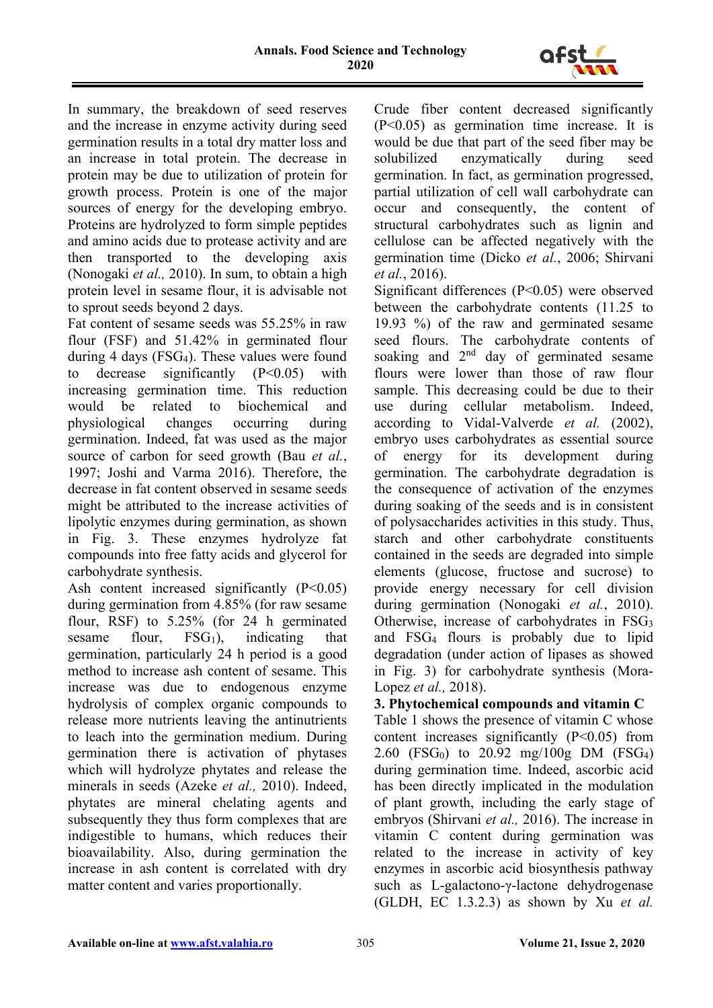

In summary, the breakdown of seed reserves and the increase in enzyme activity during seed germination results in a total dry matter loss and an increase in total protein. The decrease in protein may be due to utilization of protein for growth process. Protein is one of the major sources of energy for the developing embryo. Proteins are hydrolyzed to form simple peptides and amino acids due to protease activity and are then transported to the developing axis (Nonogaki *et al.,* 2010). In sum, to obtain a high protein level in sesame flour, it is advisable not to sprout seeds beyond 2 days.

Fat content of sesame seeds was 55.25% in raw flour (FSF) and 51.42% in germinated flour during 4 days ( $FSG<sub>4</sub>$ ). These values were found to decrease significantly  $(P<0.05)$  with increasing germination time. This reduction would be related to biochemical and physiological changes occurring during germination. Indeed, fat was used as the major source of carbon for seed growth (Bau *et al.*, 1997; Joshi and Varma 2016). Therefore, the decrease in fat content observed in sesame seeds might be attributed to the increase activities of lipolytic enzymes during germination, as shown in Fig. 3. These enzymes hydrolyze fat compounds into free fatty acids and glycerol for carbohydrate synthesis.

Ash content increased significantly  $(P<0.05)$ during germination from 4.85% (for raw sesame flour, RSF) to 5.25% (for 24 h germinated sesame flour,  $FSG<sub>1</sub>$ , indicating that germination, particularly 24 h period is a good method to increase ash content of sesame. This increase was due to endogenous enzyme hydrolysis of complex organic compounds to release more nutrients leaving the antinutrients to leach into the germination medium. During germination there is activation of phytases which will hydrolyze phytates and release the minerals in seeds (Azeke *et al.,* 2010). Indeed, phytates are mineral chelating agents and subsequently they thus form complexes that are indigestible to humans, which reduces their bioavailability. Also, during germination the increase in ash content is correlated with dry matter content and varies proportionally.

Crude fiber content decreased significantly (P<0.05) as germination time increase. It is would be due that part of the seed fiber may be solubilized enzymatically during seed germination. In fact, as germination progressed, partial utilization of cell wall carbohydrate can occur and consequently, the content of structural carbohydrates such as lignin and cellulose can be affected negatively with the germination time (Dicko *et al.*, 2006; Shirvani *et al.*, 2016).

Significant differences (P<0.05) were observed between the carbohydrate contents (11.25 to 19.93 %) of the raw and germinated sesame seed flours. The carbohydrate contents of soaking and  $2<sup>nd</sup>$  day of germinated sesame flours were lower than those of raw flour sample. This decreasing could be due to their use during cellular metabolism. Indeed, according to Vidal-Valverde *et al.* (2002), embryo uses carbohydrates as essential source of energy for its development during germination. The carbohydrate degradation is the consequence of activation of the enzymes during soaking of the seeds and is in consistent of polysaccharides activities in this study. Thus, starch and other carbohydrate constituents contained in the seeds are degraded into simple elements (glucose, fructose and sucrose) to provide energy necessary for cell division during germination (Nonogaki *et al.*, 2010). Otherwise, increase of carbohydrates in FSG<sub>3</sub> and FSG4 flours is probably due to lipid degradation (under action of lipases as showed in Fig. 3) for carbohydrate synthesis (Mora-Lopez *et al.,* 2018).

# **3. Phytochemical compounds and vitamin C**

Table 1 shows the presence of vitamin C whose content increases significantly  $(P<0.05)$  from 2.60 (FSG<sub>0</sub>) to 20.92 mg/100g DM (FSG<sub>4</sub>) during germination time. Indeed, ascorbic acid has been directly implicated in the modulation of plant growth, including the early stage of embryos (Shirvani *et al.,* 2016). The increase in vitamin C content during germination was related to the increase in activity of key enzymes in ascorbic acid biosynthesis pathway such as L-galactono-γ-lactone dehydrogenase (GLDH, EC 1.3.2.3) as shown by Xu *et al.*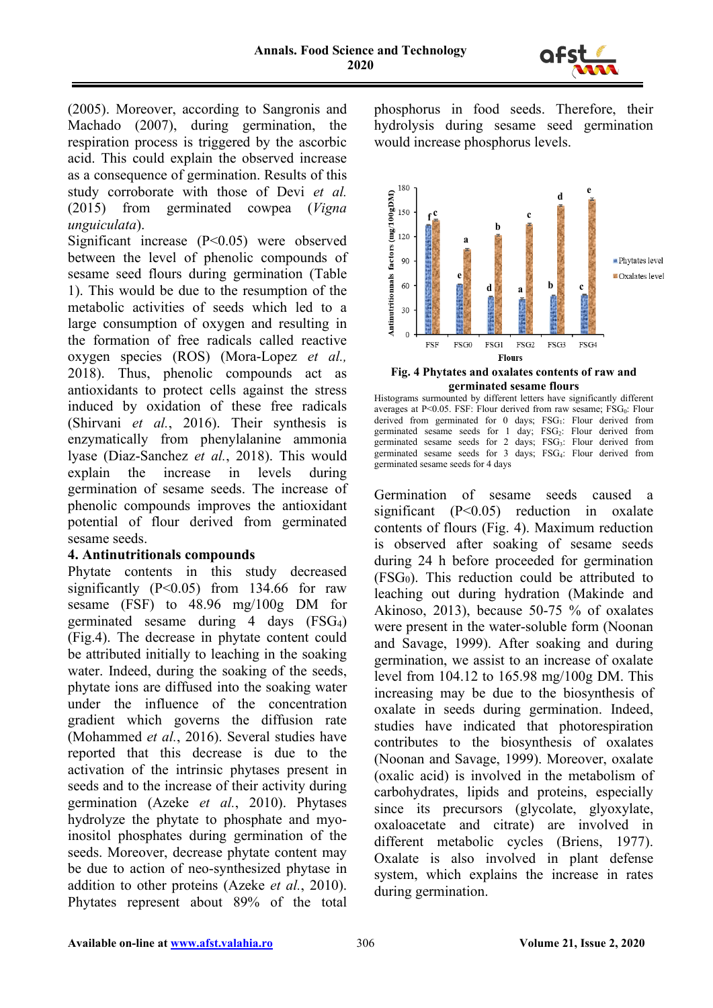

(2005). Moreover, according to Sangronis and Machado (2007), during germination, the respiration process is triggered by the ascorbic acid. This could explain the observed increase as a consequence of germination. Results of this study corroborate with those of Devi *et al.* (2015) from germinated cowpea (*Vigna unguiculata*).

Significant increase (P<0.05) were observed between the level of phenolic compounds of sesame seed flours during germination (Table 1). This would be due to the resumption of the metabolic activities of seeds which led to a large consumption of oxygen and resulting in the formation of free radicals called reactive oxygen species (ROS) (Mora-Lopez *et al.,* 2018). Thus, phenolic compounds act as antioxidants to protect cells against the stress induced by oxidation of these free radicals (Shirvani *et al.*, 2016). Their synthesis is enzymatically from phenylalanine ammonia lyase (Diaz-Sanchez *et al.*, 2018). This would explain the increase in levels during germination of sesame seeds. The increase of phenolic compounds improves the antioxidant potential of flour derived from germinated sesame seeds.

## **4. Antinutritionals compounds**

Phytate contents in this study decreased significantly  $(P<0.05)$  from 134.66 for raw sesame (FSF) to 48.96 mg/100g DM for germinated sesame during 4 days (FSG4) (Fig.4). The decrease in phytate content could be attributed initially to leaching in the soaking water. Indeed, during the soaking of the seeds, phytate ions are diffused into the soaking water under the influence of the concentration gradient which governs the diffusion rate (Mohammed *et al.*, 2016). Several studies have reported that this decrease is due to the activation of the intrinsic phytases present in seeds and to the increase of their activity during germination (Azeke *et al.*, 2010). Phytases hydrolyze the phytate to phosphate and myoinositol phosphates during germination of the seeds. Moreover, decrease phytate content may be due to action of neo-synthesized phytase in addition to other proteins (Azeke *et al.*, 2010). Phytates represent about 89% of the total

phosphorus in food seeds. Therefore, their hydrolysis during sesame seed germination would increase phosphorus levels.



#### **Fig. 4 Phytates and oxalates contents of raw and germinated sesame flours**



Germination of sesame seeds caused a significant  $(P<0.05)$  reduction in oxalate contents of flours (Fig. 4). Maximum reduction is observed after soaking of sesame seeds during 24 h before proceeded for germination  $(FSG<sub>0</sub>)$ . This reduction could be attributed to leaching out during hydration (Makinde and Akinoso, 2013), because 50-75 % of oxalates were present in the water-soluble form (Noonan and Savage, 1999). After soaking and during germination, we assist to an increase of oxalate level from 104.12 to 165.98 mg/100g DM. This increasing may be due to the biosynthesis of oxalate in seeds during germination. Indeed, studies have indicated that photorespiration contributes to the biosynthesis of oxalates (Noonan and Savage, 1999). Moreover, oxalate (oxalic acid) is involved in the metabolism of carbohydrates, lipids and proteins, especially since its precursors (glycolate, glyoxylate, oxaloacetate and citrate) are involved in different metabolic cycles (Briens, 1977). Oxalate is also involved in plant defense system, which explains the increase in rates during germination.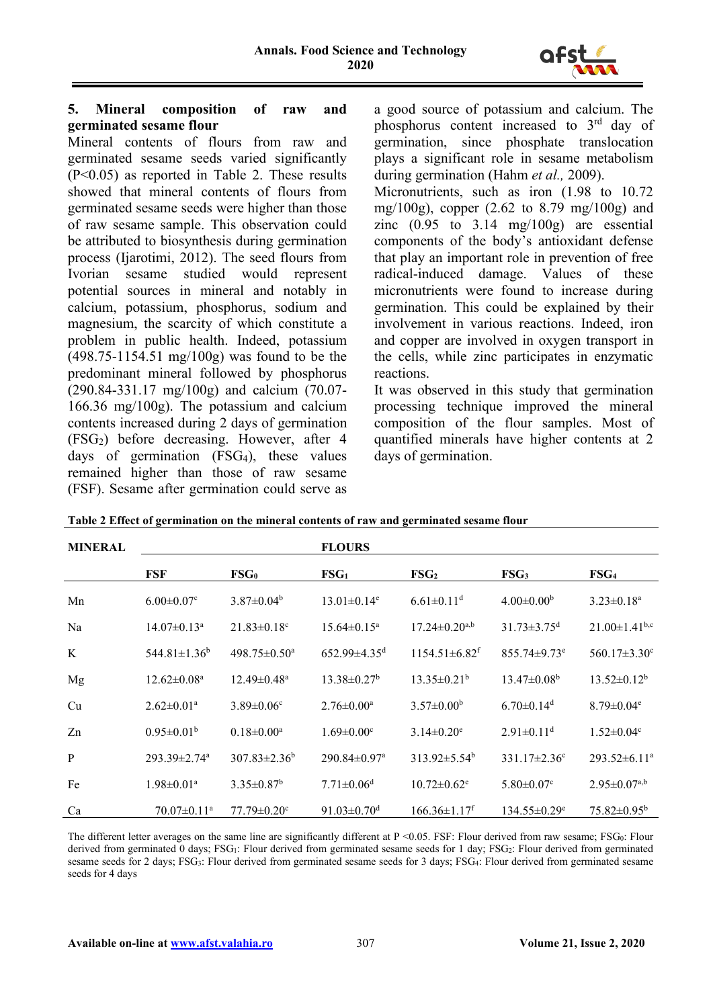

## **5. Mineral composition of raw and germinated sesame flour**

Mineral contents of flours from raw and germinated sesame seeds varied significantly (P<0.05) as reported in Table 2. These results showed that mineral contents of flours from germinated sesame seeds were higher than those of raw sesame sample. This observation could be attributed to biosynthesis during germination process (Ijarotimi, 2012). The seed flours from Ivorian sesame studied would represent potential sources in mineral and notably in calcium, potassium, phosphorus, sodium and magnesium, the scarcity of which constitute a problem in public health. Indeed, potassium (498.75-1154.51 mg/100g) was found to be the predominant mineral followed by phosphorus (290.84-331.17 mg/100g) and calcium (70.07- 166.36 mg/100g). The potassium and calcium contents increased during 2 days of germination  $(FSG<sub>2</sub>)$  before decreasing. However, after 4 days of germination (FSG4), these values remained higher than those of raw sesame (FSF). Sesame after germination could serve as

a good source of potassium and calcium. The phosphorus content increased to 3rd day of germination, since phosphate translocation plays a significant role in sesame metabolism during germination (Hahm *et al.,* 2009).

Micronutrients, such as iron (1.98 to 10.72) mg/100g), copper (2.62 to 8.79 mg/100g) and zinc  $(0.95 \text{ to } 3.14 \text{ mg}/100 \text{g})$  are essential components of the body's antioxidant defense that play an important role in prevention of free radical-induced damage. Values of these micronutrients were found to increase during germination. This could be explained by their involvement in various reactions. Indeed, iron and copper are involved in oxygen transport in the cells, while zinc participates in enzymatic reactions.

It was observed in this study that germination processing technique improved the mineral composition of the flour samples. Most of quantified minerals have higher contents at 2 days of germination.

| <b>MINERAL</b> |                                |                               | <b>FLOURS</b>                  |                                 |                                |                              |
|----------------|--------------------------------|-------------------------------|--------------------------------|---------------------------------|--------------------------------|------------------------------|
|                | FSF                            | $\textbf{FSG}_0$              | FSG <sub>1</sub>               | $\textbf{FSG}_2$                | FSG <sub>3</sub>               | FSG <sub>4</sub>             |
| Mn             | $6.00 \pm 0.07$ <sup>c</sup>   | $3.87 \pm 0.04^b$             | $13.01 \pm 0.14$ <sup>e</sup>  | $6.61 \pm 0.11$ <sup>d</sup>    | $4.00 \pm 0.00^b$              | $3.23 \pm 0.18^a$            |
| Na             | $14.07 \pm 0.13$ <sup>a</sup>  | $21.83 \pm 0.18$ <sup>c</sup> | $15.64 \pm 0.15^{\text{a}}$    | $17.24 \pm 0.20^{a,b}$          | $31.73 \pm 3.75$ <sup>d</sup>  | $21.00 \pm 1.41^{b,c}$       |
| K              | $544.81 \pm 1.36^b$            | $498.75 \pm 0.50^{\circ}$     | $652.99 \pm 4.35$ <sup>d</sup> | $1154.51 \pm 6.82$ <sup>f</sup> | $855.74 \pm 9.73$ <sup>e</sup> | $560.17 \pm 3.30^{\circ}$    |
| Mg             | $12.62 \pm 0.08^a$             | $12.49 \pm 0.48$ <sup>a</sup> | $13.38 \pm 0.27^b$             | $13.35 \pm 0.21^{\rm b}$        | $13.47\pm0.08^{\rm b}$         | $13.52 \pm 0.12^b$           |
| Cu             | $2.62 \pm 0.01^{\text{a}}$     | $3.89 \pm 0.06$ <sup>c</sup>  | $2.76 \pm 0.00^{\text{a}}$     | $3.57 \pm 0.00^b$               | $6.70 \pm 0.14$ <sup>d</sup>   | $8.79 \pm 0.04$ <sup>e</sup> |
| Zn             | $0.95 \pm 0.01^b$              | $0.18 \pm 0.00^a$             | $1.69 \pm 0.00$ <sup>c</sup>   | $3.14 \pm 0.20^e$               | $2.91 \pm 0.11$ <sup>d</sup>   | $1.52 \pm 0.04$ <sup>c</sup> |
| P              | $293.39 \pm 2.74$ <sup>a</sup> | $307.83 \pm 2.36^b$           | $290.84 \pm 0.97$ <sup>a</sup> | $313.92 \pm 5.54^{\circ}$       | $331.17 \pm 2.36$ °            | $293.52 \pm 6.11^a$          |
| Fe             | $1.98 \pm 0.01^a$              | $3.35 \pm 0.87^b$             | $7.71 \pm 0.06$ <sup>d</sup>   | $10.72 \pm 0.62$ <sup>e</sup>   | $5.80 \pm 0.07$ °              | $2.95 \pm 0.07^{a,b}$        |
| Ca             | $70.07 \pm 0.11$ <sup>a</sup>  | $77.79 \pm 0.20$ <sup>c</sup> | 91.03 $\pm$ 0.70 <sup>d</sup>  | $166.36 \pm 1.17$ <sup>f</sup>  | $134.55 \pm 0.29$ <sup>e</sup> | $75.82 \pm 0.95^{\rm b}$     |

**Table 2 Effect of germination on the mineral contents of raw and germinated sesame flour**

The different letter averages on the same line are significantly different at  $P \le 0.05$ . FSF: Flour derived from raw sesame; FSG<sub>0</sub>: Flour derived from germinated 0 days; FSG<sub>1</sub>: Flour derived from germinated sesame seeds for 1 day; FSG<sub>2</sub>: Flour derived from germinated sesame seeds for 2 days; FSG3: Flour derived from germinated sesame seeds for 3 days; FSG4: Flour derived from germinated sesame seeds for 4 days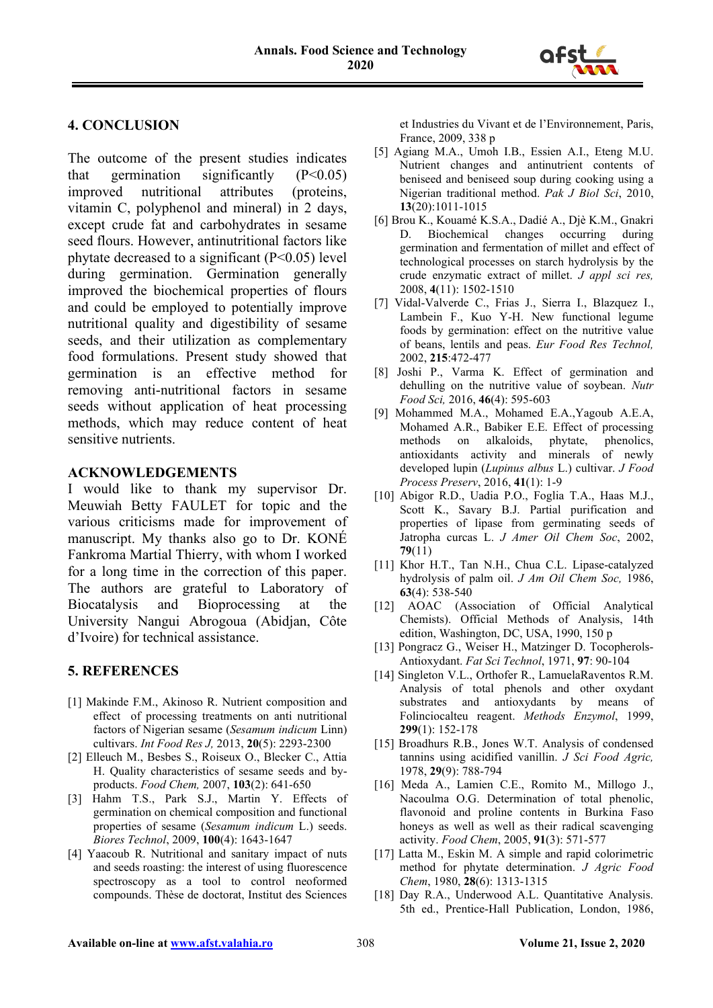

## **4. CONCLUSION**

The outcome of the present studies indicates that germination significantly  $(P<0.05)$ improved nutritional attributes (proteins, vitamin C, polyphenol and mineral) in 2 days, except crude fat and carbohydrates in sesame seed flours. However, antinutritional factors like phytate decreased to a significant  $(P<0.05)$  level during germination. Germination generally improved the biochemical properties of flours and could be employed to potentially improve nutritional quality and digestibility of sesame seeds, and their utilization as complementary food formulations. Present study showed that germination is an effective method for removing anti-nutritional factors in sesame seeds without application of heat processing methods, which may reduce content of heat sensitive nutrients.

#### **ACKNOWLEDGEMENTS**

I would like to thank my supervisor Dr. Meuwiah Betty FAULET for topic and the various criticisms made for improvement of manuscript. My thanks also go to Dr. KONÉ Fankroma Martial Thierry, with whom I worked for a long time in the correction of this paper. The authors are grateful to Laboratory of Biocatalysis and Bioprocessing at the University Nangui Abrogoua (Abidjan, Côte d'Ivoire) for technical assistance.

## **5. REFERENCES**

- [1] Makinde F.M., Akinoso R. Nutrient composition and effect of processing treatments on anti nutritional factors of Nigerian sesame (*Sesamum indicum* Linn) cultivars. *Int Food Res J,* 2013, **20**(5): 2293-2300
- [2] Elleuch M., Besbes S., Roiseux O., Blecker C., Attia H. Quality characteristics of sesame seeds and byproducts. *Food Chem,* 2007, **103**(2): 641-650
- [3] Hahm T.S., Park S.J., Martin Y. Effects of germination on chemical composition and functional properties of sesame (*Sesamum indicum* L.) seeds. *Biores Technol*, 2009, **100**(4): 1643-1647
- [4] Yaacoub R. Nutritional and sanitary impact of nuts and seeds roasting: the interest of using fluorescence spectroscopy as a tool to control neoformed compounds. Thèse de doctorat, Institut des Sciences

et Industries du Vivant et de l'Environnement, Paris, France, 2009, 338 p

- [5] Agiang M.A., Umoh I.B., Essien A.I., Eteng M.U. Nutrient changes and antinutrient contents of beniseed and beniseed soup during cooking using a Nigerian traditional method. *Pak J Biol Sci*, 2010, **13**(20):1011-1015
- [6] Brou K., Kouamé K.S.A., Dadié A., Djè K.M., Gnakri D. Biochemical changes occurring during germination and fermentation of millet and effect of technological processes on starch hydrolysis by the crude enzymatic extract of millet. *J appl sci res,* 2008, **4**(11): 1502-1510
- [7] Vidal-Valverde C., Frias J., Sierra I., Blazquez I., Lambein F., Kuo Y-H. New functional legume foods by germination: effect on the nutritive value of beans, lentils and peas. *Eur Food Res Technol,* 2002, **215**:472-477
- [8] Joshi P., Varma K. Effect of germination and dehulling on the nutritive value of soybean. *Nutr Food Sci,* 2016, **46**(4): 595-603
- [9] Mohammed M.A., Mohamed E.A.,Yagoub A.E.A, Mohamed A.R., Babiker E.E. Effect of processing methods on alkaloids, phytate, phenolics, antioxidants activity and minerals of newly developed lupin (*Lupinus albus* L.) cultivar. *J Food Process Preserv*, 2016, **41**(1): 1-9
- [10] Abigor R.D., Uadia P.O., Foglia T.A., Haas M.J., Scott K., Savary B.J. Partial purification and properties of lipase from germinating seeds of Jatropha curcas L. *J Amer Oil Chem Soc*, 2002, **79**(11)
- [11] Khor H.T., Tan N.H., Chua C.L. Lipase-catalyzed hydrolysis of palm oil. *J Am Oil Chem Soc,* 1986, **63**(4): 538-540
- [12] AOAC (Association of Official Analytical Chemists). Official Methods of Analysis, 14th edition, Washington, DC, USA, 1990, 150 p
- [13] Pongracz G., Weiser H., Matzinger D. Tocopherols-Antioxydant. *Fat Sci Technol*, 1971, **97**: 90-104
- [14] Singleton V.L., Orthofer R., LamuelaRaventos R.M. Analysis of total phenols and other oxydant substrates and antioxydants by means of Folinciocalteu reagent. *Methods Enzymol*, 1999, **299**(1): 152-178
- [15] Broadhurs R.B., Jones W.T. Analysis of condensed tannins using acidified vanillin. *J Sci Food Agric,* 1978, **29**(9): 788-794
- [16] Meda A., Lamien C.E., Romito M., Millogo J., Nacoulma O.G. Determination of total phenolic, flavonoid and proline contents in Burkina Faso honeys as well as well as their radical scavenging activity. *Food Chem*, 2005, **91**(3): 571-577
- [17] Latta M., Eskin M. A simple and rapid colorimetric method for phytate determination. *J Agric Food Chem*, 1980, **28**(6): 1313-1315
- [18] Day R.A., Underwood A.L. Quantitative Analysis. 5th ed., Prentice-Hall Publication, London, 1986,